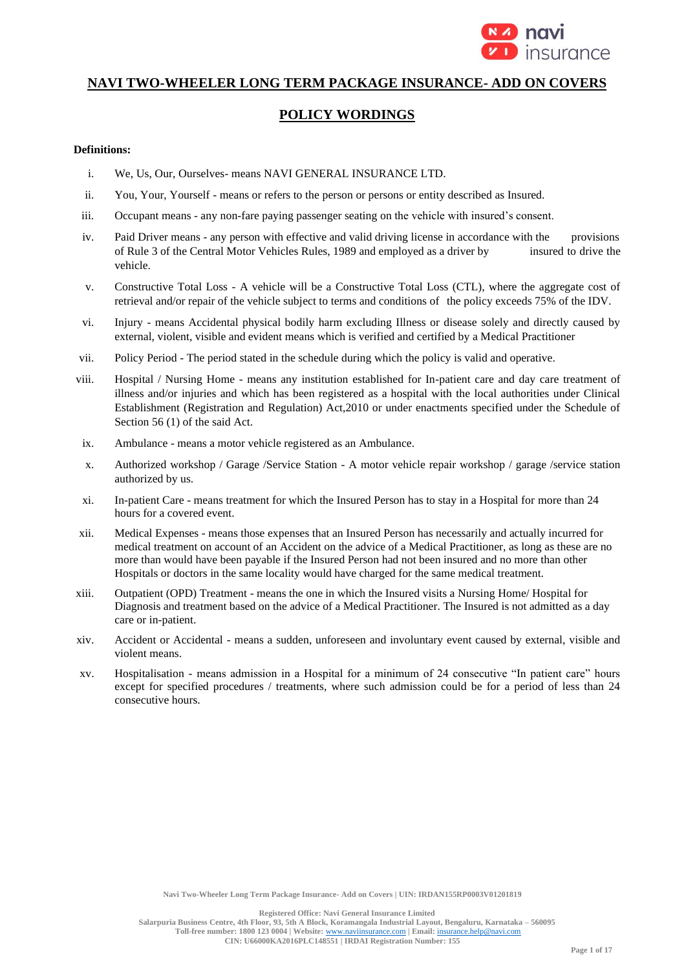

# **NAVI TWO-WHEELER LONG TERM PACKAGE INSURANCE- ADD ON COVERS**

# **POLICY WORDINGS**

## **Definitions:**

- i. We, Us, Our, Ourselves- means NAVI GENERAL INSURANCE LTD.
- ii. You, Your, Yourself means or refers to the person or persons or entity described as Insured.
- iii. Occupant means any non-fare paying passenger seating on the vehicle with insured's consent.
- iv. Paid Driver means any person with effective and valid driving license in accordance with the provisions of Rule 3 of the Central Motor Vehicles Rules, 1989 and employed as a driver by insured to drive the vehicle.
- v. Constructive Total Loss A vehicle will be a Constructive Total Loss (CTL), where the aggregate cost of retrieval and/or repair of the vehicle subject to terms and conditions of the policy exceeds 75% of the IDV.
- vi. Injury means Accidental physical bodily harm excluding Illness or disease solely and directly caused by external, violent, visible and evident means which is verified and certified by a Medical Practitioner
- vii. Policy Period The period stated in the schedule during which the policy is valid and operative.
- viii. Hospital / Nursing Home means any institution established for In-patient care and day care treatment of illness and/or injuries and which has been registered as a hospital with the local authorities under Clinical Establishment (Registration and Regulation) Act,2010 or under enactments specified under the Schedule of Section 56 (1) of the said Act.
- ix. Ambulance means a motor vehicle registered as an Ambulance.
- x. Authorized workshop / Garage /Service Station A motor vehicle repair workshop / garage /service station authorized by us.
- xi. In-patient Care means treatment for which the Insured Person has to stay in a Hospital for more than 24 hours for a covered event.
- xii. Medical Expenses means those expenses that an Insured Person has necessarily and actually incurred for medical treatment on account of an Accident on the advice of a Medical Practitioner, as long as these are no more than would have been payable if the Insured Person had not been insured and no more than other Hospitals or doctors in the same locality would have charged for the same medical treatment.
- xiii. Outpatient (OPD) Treatment means the one in which the Insured visits a Nursing Home/ Hospital for Diagnosis and treatment based on the advice of a Medical Practitioner. The Insured is not admitted as a day care or in-patient.
- xiv. Accident or Accidental means a sudden, unforeseen and involuntary event caused by external, visible and violent means.
- xv. Hospitalisation means admission in a Hospital for a minimum of 24 consecutive "In patient care" hours except for specified procedures / treatments, where such admission could be for a period of less than 24 consecutive hours.

**Navi Two-Wheeler Long Term Package Insurance- Add on Covers | UIN: IRDAN155RP0003V01201819**

**Registered Office: Navi General Insurance Limited**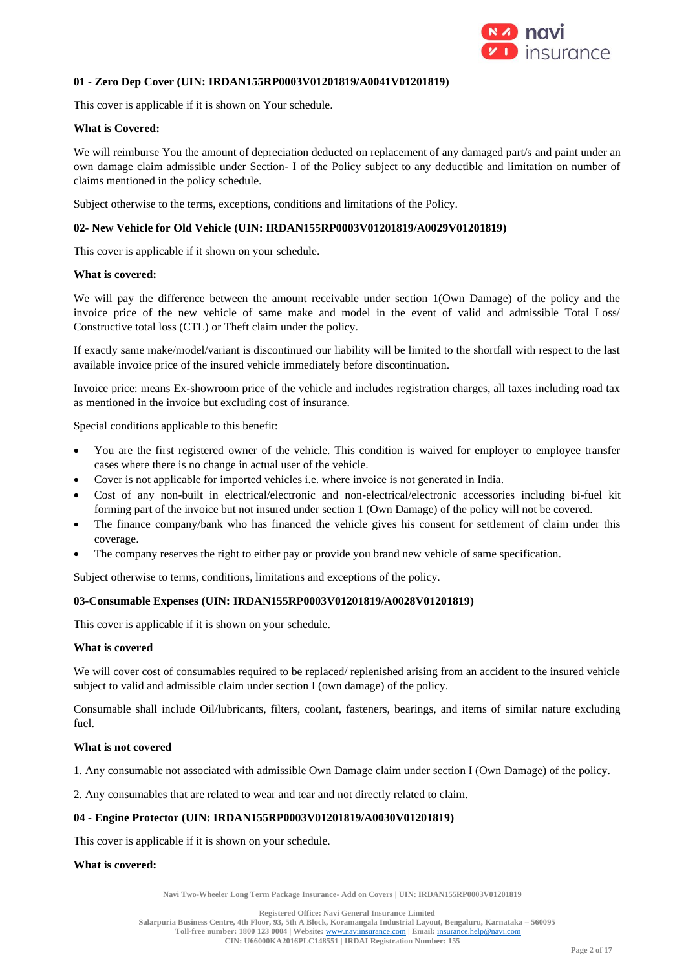

## **01 - Zero Dep Cover (UIN: IRDAN155RP0003V01201819/A0041V01201819)**

This cover is applicable if it is shown on Your schedule.

## **What is Covered:**

We will reimburse You the amount of depreciation deducted on replacement of any damaged part/s and paint under an own damage claim admissible under Section- I of the Policy subject to any deductible and limitation on number of claims mentioned in the policy schedule.

Subject otherwise to the terms, exceptions, conditions and limitations of the Policy.

## **02- New Vehicle for Old Vehicle (UIN: IRDAN155RP0003V01201819/A0029V01201819)**

This cover is applicable if it shown on your schedule.

## **What is covered:**

We will pay the difference between the amount receivable under section 1(Own Damage) of the policy and the invoice price of the new vehicle of same make and model in the event of valid and admissible Total Loss/ Constructive total loss (CTL) or Theft claim under the policy.

If exactly same make/model/variant is discontinued our liability will be limited to the shortfall with respect to the last available invoice price of the insured vehicle immediately before discontinuation.

Invoice price: means Ex-showroom price of the vehicle and includes registration charges, all taxes including road tax as mentioned in the invoice but excluding cost of insurance.

Special conditions applicable to this benefit:

- You are the first registered owner of the vehicle. This condition is waived for employer to employee transfer cases where there is no change in actual user of the vehicle.
- Cover is not applicable for imported vehicles i.e. where invoice is not generated in India.
- Cost of any non-built in electrical/electronic and non-electrical/electronic accessories including bi-fuel kit forming part of the invoice but not insured under section 1 (Own Damage) of the policy will not be covered.
- The finance company/bank who has financed the vehicle gives his consent for settlement of claim under this coverage.
- The company reserves the right to either pay or provide you brand new vehicle of same specification.

Subject otherwise to terms, conditions, limitations and exceptions of the policy.

## **03-Consumable Expenses (UIN: IRDAN155RP0003V01201819/A0028V01201819)**

This cover is applicable if it is shown on your schedule.

## **What is covered**

We will cover cost of consumables required to be replaced/ replenished arising from an accident to the insured vehicle subject to valid and admissible claim under section I (own damage) of the policy.

Consumable shall include Oil/lubricants, filters, coolant, fasteners, bearings, and items of similar nature excluding fuel.

## **What is not covered**

1. Any consumable not associated with admissible Own Damage claim under section I (Own Damage) of the policy.

2. Any consumables that are related to wear and tear and not directly related to claim.

## **04 - Engine Protector (UIN: IRDAN155RP0003V01201819/A0030V01201819)**

This cover is applicable if it is shown on your schedule.

## **What is covered:**

**Navi Two-Wheeler Long Term Package Insurance- Add on Covers | UIN: IRDAN155RP0003V01201819**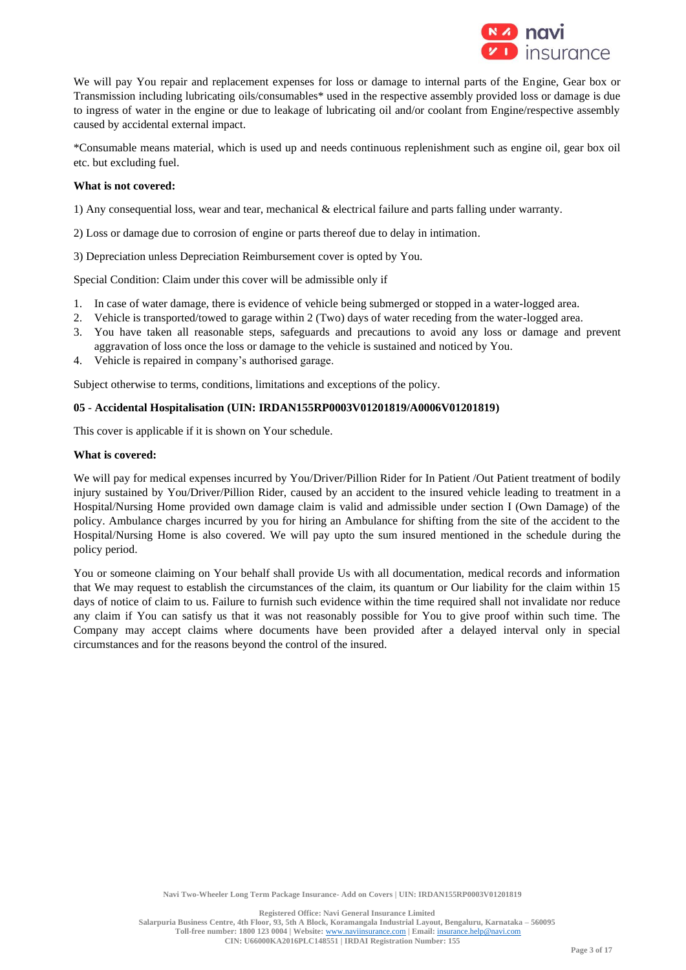

We will pay You repair and replacement expenses for loss or damage to internal parts of the Engine, Gear box or Transmission including lubricating oils/consumables\* used in the respective assembly provided loss or damage is due to ingress of water in the engine or due to leakage of lubricating oil and/or coolant from Engine/respective assembly caused by accidental external impact.

\*Consumable means material, which is used up and needs continuous replenishment such as engine oil, gear box oil etc. but excluding fuel.

## **What is not covered:**

1) Any consequential loss, wear and tear, mechanical & electrical failure and parts falling under warranty.

- 2) Loss or damage due to corrosion of engine or parts thereof due to delay in intimation.
- 3) Depreciation unless Depreciation Reimbursement cover is opted by You.

Special Condition: Claim under this cover will be admissible only if

- 1. In case of water damage, there is evidence of vehicle being submerged or stopped in a water-logged area.
- 2. Vehicle is transported/towed to garage within 2 (Two) days of water receding from the water-logged area.
- 3. You have taken all reasonable steps, safeguards and precautions to avoid any loss or damage and prevent aggravation of loss once the loss or damage to the vehicle is sustained and noticed by You.
- 4. Vehicle is repaired in company's authorised garage.

Subject otherwise to terms, conditions, limitations and exceptions of the policy.

## **05** - **Accidental Hospitalisation (UIN: IRDAN155RP0003V01201819/A0006V01201819)**

This cover is applicable if it is shown on Your schedule.

## **What is covered:**

We will pay for medical expenses incurred by You/Driver/Pillion Rider for In Patient /Out Patient treatment of bodily injury sustained by You/Driver/Pillion Rider, caused by an accident to the insured vehicle leading to treatment in a Hospital/Nursing Home provided own damage claim is valid and admissible under section I (Own Damage) of the policy. Ambulance charges incurred by you for hiring an Ambulance for shifting from the site of the accident to the Hospital/Nursing Home is also covered. We will pay upto the sum insured mentioned in the schedule during the policy period.

You or someone claiming on Your behalf shall provide Us with all documentation, medical records and information that We may request to establish the circumstances of the claim, its quantum or Our liability for the claim within 15 days of notice of claim to us. Failure to furnish such evidence within the time required shall not invalidate nor reduce any claim if You can satisfy us that it was not reasonably possible for You to give proof within such time. The Company may accept claims where documents have been provided after a delayed interval only in special circumstances and for the reasons beyond the control of the insured.

**Navi Two-Wheeler Long Term Package Insurance- Add on Covers | UIN: IRDAN155RP0003V01201819**

**Registered Office: Navi General Insurance Limited**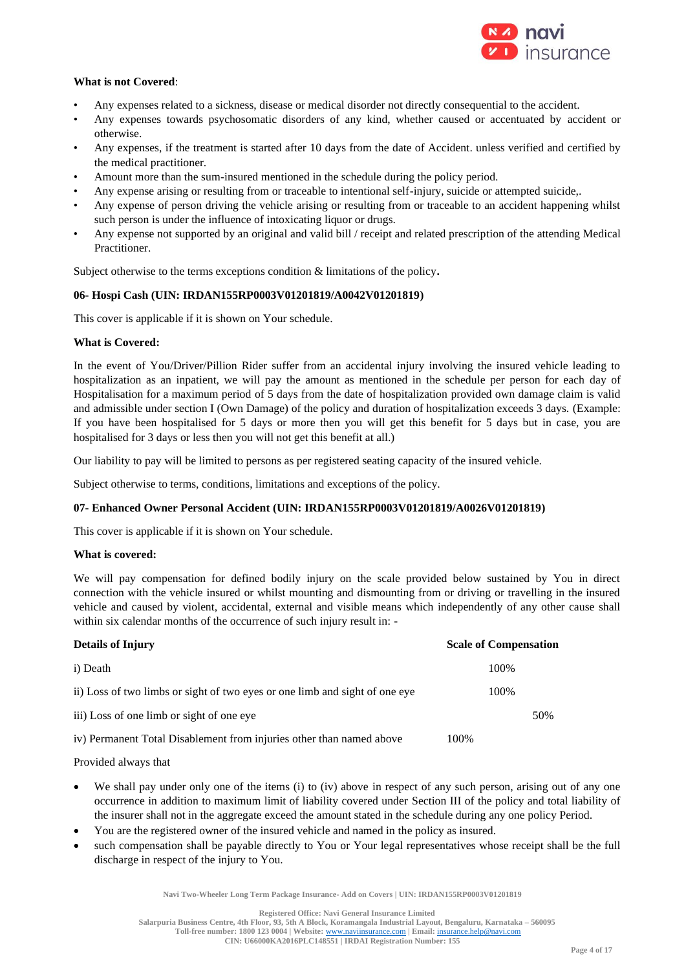

# **What is not Covered**:

- Any expenses related to a sickness, disease or medical disorder not directly consequential to the accident.
- Any expenses towards psychosomatic disorders of any kind, whether caused or accentuated by accident or otherwise.
- Any expenses, if the treatment is started after 10 days from the date of Accident. unless verified and certified by the medical practitioner.
- Amount more than the sum-insured mentioned in the schedule during the policy period.
- Any expense arising or resulting from or traceable to intentional self-injury, suicide or attempted suicide,.
- Any expense of person driving the vehicle arising or resulting from or traceable to an accident happening whilst such person is under the influence of intoxicating liquor or drugs.
- Any expense not supported by an original and valid bill / receipt and related prescription of the attending Medical Practitioner.

Subject otherwise to the terms exceptions condition & limitations of the policy**.**

## **06- Hospi Cash (UIN: IRDAN155RP0003V01201819/A0042V01201819)**

This cover is applicable if it is shown on Your schedule.

# **What is Covered:**

In the event of You/Driver/Pillion Rider suffer from an accidental injury involving the insured vehicle leading to hospitalization as an inpatient, we will pay the amount as mentioned in the schedule per person for each day of Hospitalisation for a maximum period of 5 days from the date of hospitalization provided own damage claim is valid and admissible under section I (Own Damage) of the policy and duration of hospitalization exceeds 3 days. (Example: If you have been hospitalised for 5 days or more then you will get this benefit for 5 days but in case, you are hospitalised for 3 days or less then you will not get this benefit at all.)

Our liability to pay will be limited to persons as per registered seating capacity of the insured vehicle.

Subject otherwise to terms, conditions, limitations and exceptions of the policy.

# **07**- **Enhanced Owner Personal Accident (UIN: IRDAN155RP0003V01201819/A0026V01201819)**

This cover is applicable if it is shown on Your schedule.

# **What is covered:**

We will pay compensation for defined bodily injury on the scale provided below sustained by You in direct connection with the vehicle insured or whilst mounting and dismounting from or driving or travelling in the insured vehicle and caused by violent, accidental, external and visible means which independently of any other cause shall within six calendar months of the occurrence of such injury result in: -

| <b>Details of Injury</b>                                                    |      | <b>Scale of Compensation</b> |
|-----------------------------------------------------------------------------|------|------------------------------|
| i) Death                                                                    |      | 100\%                        |
| ii) Loss of two limbs or sight of two eyes or one limb and sight of one eye |      | 100%                         |
| iii) Loss of one limb or sight of one eye                                   |      | 50%                          |
| iv) Permanent Total Disablement from injuries other than named above        | 100% |                              |

# Provided always that

- We shall pay under only one of the items (i) to (iv) above in respect of any such person, arising out of any one occurrence in addition to maximum limit of liability covered under Section III of the policy and total liability of the insurer shall not in the aggregate exceed the amount stated in the schedule during any one policy Period.
- You are the registered owner of the insured vehicle and named in the policy as insured.
- such compensation shall be payable directly to You or Your legal representatives whose receipt shall be the full discharge in respect of the injury to You.

**Navi Two-Wheeler Long Term Package Insurance- Add on Covers | UIN: IRDAN155RP0003V01201819**

**Salarpuria Business Centre, 4th Floor, 93, 5th A Block, Koramangala Industrial Layout, Bengaluru, Karnataka – 560095 Toll-free number: 1800 123 0004 | Website:** [www.naviinsurance.com](http://www.naviinsurance.com/) **| Email:** [insurance.help@navi.com](mailto:insurance.help@navi.com)

**CIN: U66000KA2016PLC148551 | IRDAI Registration Number: 155**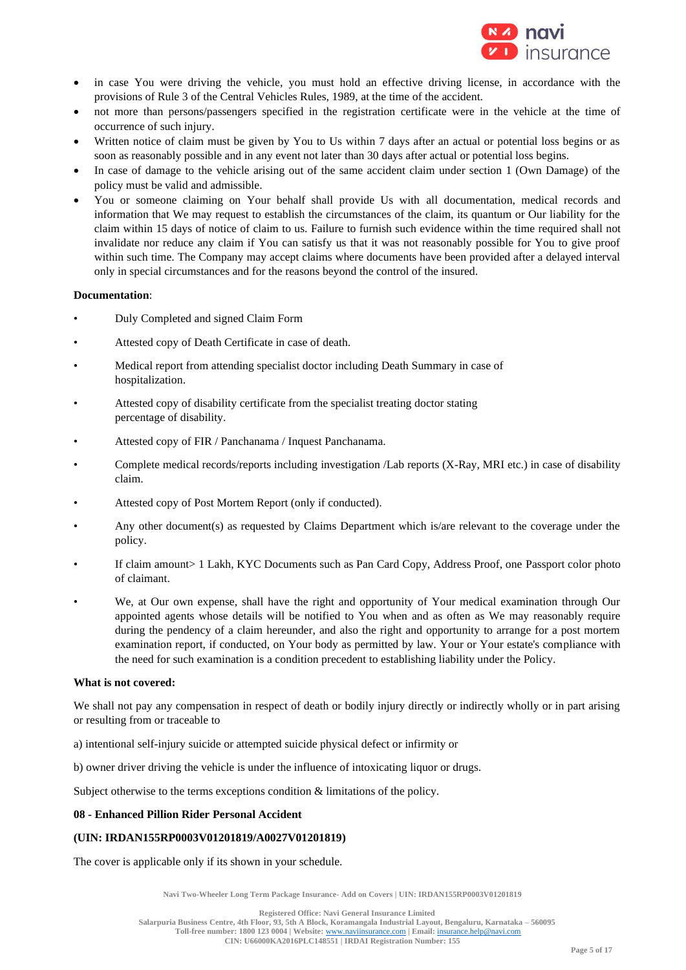

- in case You were driving the vehicle, you must hold an effective driving license, in accordance with the provisions of Rule 3 of the Central Vehicles Rules, 1989, at the time of the accident.
- not more than persons/passengers specified in the registration certificate were in the vehicle at the time of occurrence of such injury.
- Written notice of claim must be given by You to Us within 7 days after an actual or potential loss begins or as soon as reasonably possible and in any event not later than 30 days after actual or potential loss begins.
- In case of damage to the vehicle arising out of the same accident claim under section 1 (Own Damage) of the policy must be valid and admissible.
- You or someone claiming on Your behalf shall provide Us with all documentation, medical records and information that We may request to establish the circumstances of the claim, its quantum or Our liability for the claim within 15 days of notice of claim to us. Failure to furnish such evidence within the time required shall not invalidate nor reduce any claim if You can satisfy us that it was not reasonably possible for You to give proof within such time. The Company may accept claims where documents have been provided after a delayed interval only in special circumstances and for the reasons beyond the control of the insured.

# **Documentation**:

- Duly Completed and signed Claim Form
- Attested copy of Death Certificate in case of death.
- Medical report from attending specialist doctor including Death Summary in case of hospitalization.
- Attested copy of disability certificate from the specialist treating doctor stating percentage of disability.
- Attested copy of FIR / Panchanama / Inquest Panchanama.
- Complete medical records/reports including investigation /Lab reports (X-Ray, MRI etc.) in case of disability claim.
- Attested copy of Post Mortem Report (only if conducted).
- Any other document(s) as requested by Claims Department which is/are relevant to the coverage under the policy.
- If claim amount> 1 Lakh, KYC Documents such as Pan Card Copy, Address Proof, one Passport color photo of claimant.
- We, at Our own expense, shall have the right and opportunity of Your medical examination through Our appointed agents whose details will be notified to You when and as often as We may reasonably require during the pendency of a claim hereunder, and also the right and opportunity to arrange for a post mortem examination report, if conducted, on Your body as permitted by law. Your or Your estate's compliance with the need for such examination is a condition precedent to establishing liability under the Policy.

## **What is not covered:**

We shall not pay any compensation in respect of death or bodily injury directly or indirectly wholly or in part arising or resulting from or traceable to

- a) intentional self-injury suicide or attempted suicide physical defect or infirmity or
- b) owner driver driving the vehicle is under the influence of intoxicating liquor or drugs.

Subject otherwise to the terms exceptions condition & limitations of the policy.

# **08 - Enhanced Pillion Rider Personal Accident**

# **(UIN: IRDAN155RP0003V01201819/A0027V01201819)**

The cover is applicable only if its shown in your schedule.

**Navi Two-Wheeler Long Term Package Insurance- Add on Covers | UIN: IRDAN155RP0003V01201819**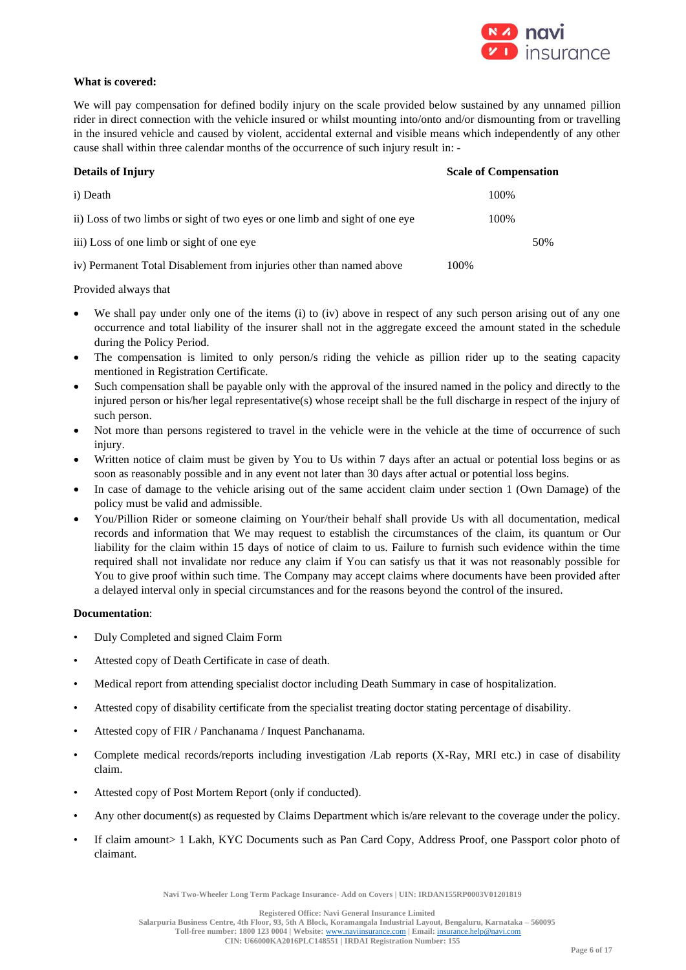

# **What is covered:**

We will pay compensation for defined bodily injury on the scale provided below sustained by any unnamed pillion rider in direct connection with the vehicle insured or whilst mounting into/onto and/or dismounting from or travelling in the insured vehicle and caused by violent, accidental external and visible means which independently of any other cause shall within three calendar months of the occurrence of such injury result in: -

| <b>Details of Injury</b>                                                    | <b>Scale of Compensation</b> |
|-----------------------------------------------------------------------------|------------------------------|
| i) Death                                                                    | 100%                         |
| ii) Loss of two limbs or sight of two eyes or one limb and sight of one eye | 100%                         |
| iii) Loss of one limb or sight of one eye                                   | 50%                          |
| iv) Permanent Total Disablement from injuries other than named above        | 100%                         |

Provided always that

- We shall pay under only one of the items (i) to (iv) above in respect of any such person arising out of any one occurrence and total liability of the insurer shall not in the aggregate exceed the amount stated in the schedule during the Policy Period.
- The compensation is limited to only person/s riding the vehicle as pillion rider up to the seating capacity mentioned in Registration Certificate.
- Such compensation shall be payable only with the approval of the insured named in the policy and directly to the injured person or his/her legal representative(s) whose receipt shall be the full discharge in respect of the injury of such person.
- Not more than persons registered to travel in the vehicle were in the vehicle at the time of occurrence of such injury.
- Written notice of claim must be given by You to Us within 7 days after an actual or potential loss begins or as soon as reasonably possible and in any event not later than 30 days after actual or potential loss begins.
- In case of damage to the vehicle arising out of the same accident claim under section 1 (Own Damage) of the policy must be valid and admissible.
- You/Pillion Rider or someone claiming on Your/their behalf shall provide Us with all documentation, medical records and information that We may request to establish the circumstances of the claim, its quantum or Our liability for the claim within 15 days of notice of claim to us. Failure to furnish such evidence within the time required shall not invalidate nor reduce any claim if You can satisfy us that it was not reasonably possible for You to give proof within such time. The Company may accept claims where documents have been provided after a delayed interval only in special circumstances and for the reasons beyond the control of the insured.

# **Documentation**:

- Duly Completed and signed Claim Form
- Attested copy of Death Certificate in case of death.
- Medical report from attending specialist doctor including Death Summary in case of hospitalization.
- Attested copy of disability certificate from the specialist treating doctor stating percentage of disability.
- Attested copy of FIR / Panchanama / Inquest Panchanama.
- Complete medical records/reports including investigation /Lab reports (X-Ray, MRI etc.) in case of disability claim.
- Attested copy of Post Mortem Report (only if conducted).
- Any other document(s) as requested by Claims Department which is/are relevant to the coverage under the policy.
- If claim amount> 1 Lakh, KYC Documents such as Pan Card Copy, Address Proof, one Passport color photo of claimant.

**Navi Two-Wheeler Long Term Package Insurance- Add on Covers | UIN: IRDAN155RP0003V01201819**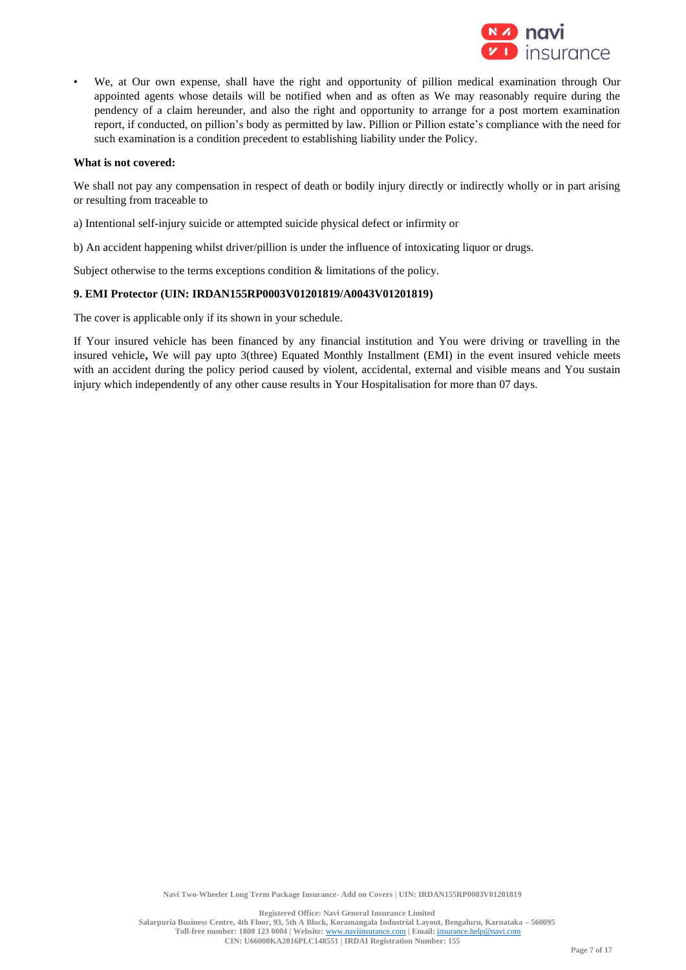

• We, at Our own expense, shall have the right and opportunity of pillion medical examination through Our appointed agents whose details will be notified when and as often as We may reasonably require during the pendency of a claim hereunder, and also the right and opportunity to arrange for a post mortem examination report, if conducted, on pillion's body as permitted by law. Pillion or Pillion estate's compliance with the need for such examination is a condition precedent to establishing liability under the Policy.

## **What is not covered:**

We shall not pay any compensation in respect of death or bodily injury directly or indirectly wholly or in part arising or resulting from traceable to

- a) Intentional self-injury suicide or attempted suicide physical defect or infirmity or
- b) An accident happening whilst driver/pillion is under the influence of intoxicating liquor or drugs.

Subject otherwise to the terms exceptions condition & limitations of the policy.

## **9. EMI Protector (UIN: IRDAN155RP0003V01201819/A0043V01201819)**

The cover is applicable only if its shown in your schedule.

If Your insured vehicle has been financed by any financial institution and You were driving or travelling in the insured vehicle**,** We will pay upto 3(three) Equated Monthly Installment (EMI) in the event insured vehicle meets with an accident during the policy period caused by violent, accidental, external and visible means and You sustain injury which independently of any other cause results in Your Hospitalisation for more than 07 days.

**Navi Two-Wheeler Long Term Package Insurance- Add on Covers | UIN: IRDAN155RP0003V01201819**

**Registered Office: Navi General Insurance Limited**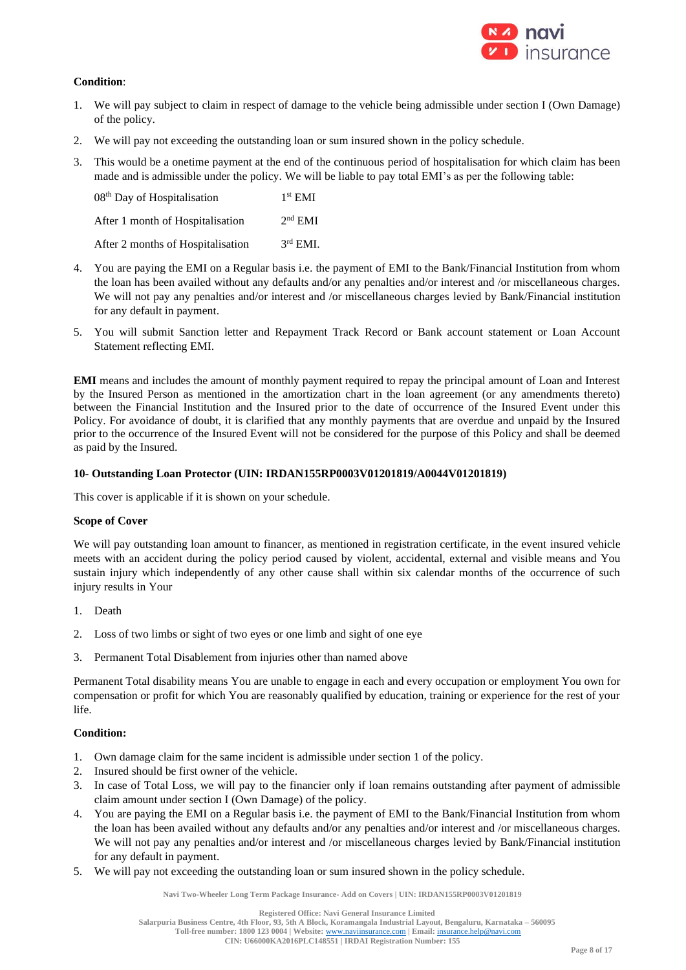

# **Condition**:

- 1. We will pay subject to claim in respect of damage to the vehicle being admissible under section I (Own Damage) of the policy.
- 2. We will pay not exceeding the outstanding loan or sum insured shown in the policy schedule.
- 3. This would be a onetime payment at the end of the continuous period of hospitalisation for which claim has been made and is admissible under the policy. We will be liable to pay total EMI's as per the following table:

| 08 <sup>th</sup> Day of Hospitalisation | $1st$ EMI  |
|-----------------------------------------|------------|
| After 1 month of Hospitalisation        | $2nd$ EMI  |
| After 2 months of Hospitalisation       | $3rd$ EMI. |

- 4. You are paying the EMI on a Regular basis i.e. the payment of EMI to the Bank/Financial Institution from whom the loan has been availed without any defaults and/or any penalties and/or interest and /or miscellaneous charges. We will not pay any penalties and/or interest and /or miscellaneous charges levied by Bank/Financial institution for any default in payment.
- 5. You will submit Sanction letter and Repayment Track Record or Bank account statement or Loan Account Statement reflecting EMI.

**EMI** means and includes the amount of monthly payment required to repay the principal amount of Loan and Interest by the Insured Person as mentioned in the amortization chart in the loan agreement (or any amendments thereto) between the Financial Institution and the Insured prior to the date of occurrence of the Insured Event under this Policy. For avoidance of doubt, it is clarified that any monthly payments that are overdue and unpaid by the Insured prior to the occurrence of the Insured Event will not be considered for the purpose of this Policy and shall be deemed as paid by the Insured.

## **10**- **Outstanding Loan Protector (UIN: IRDAN155RP0003V01201819/A0044V01201819)**

This cover is applicable if it is shown on your schedule.

# **Scope of Cover**

We will pay outstanding loan amount to financer, as mentioned in registration certificate, in the event insured vehicle meets with an accident during the policy period caused by violent, accidental, external and visible means and You sustain injury which independently of any other cause shall within six calendar months of the occurrence of such injury results in Your

- 1. Death
- 2. Loss of two limbs or sight of two eyes or one limb and sight of one eye
- 3. Permanent Total Disablement from injuries other than named above

Permanent Total disability means You are unable to engage in each and every occupation or employment You own for compensation or profit for which You are reasonably qualified by education, training or experience for the rest of your life.

# **Condition:**

- 1. Own damage claim for the same incident is admissible under section 1 of the policy.
- 2. Insured should be first owner of the vehicle.
- 3. In case of Total Loss, we will pay to the financier only if loan remains outstanding after payment of admissible claim amount under section I (Own Damage) of the policy.
- 4. You are paying the EMI on a Regular basis i.e. the payment of EMI to the Bank/Financial Institution from whom the loan has been availed without any defaults and/or any penalties and/or interest and /or miscellaneous charges. We will not pay any penalties and/or interest and /or miscellaneous charges levied by Bank/Financial institution for any default in payment.
- 5. We will pay not exceeding the outstanding loan or sum insured shown in the policy schedule.

**Navi Two-Wheeler Long Term Package Insurance- Add on Covers | UIN: IRDAN155RP0003V01201819**

**Salarpuria Business Centre, 4th Floor, 93, 5th A Block, Koramangala Industrial Layout, Bengaluru, Karnataka – 560095**

**Toll-free number: 1800 123 0004 | Website:** [www.naviinsurance.com](http://www.naviinsurance.com/) **| Email:** [insurance.help@navi.com](mailto:insurance.help@navi.com) **CIN: U66000KA2016PLC148551 | IRDAI Registration Number: 155**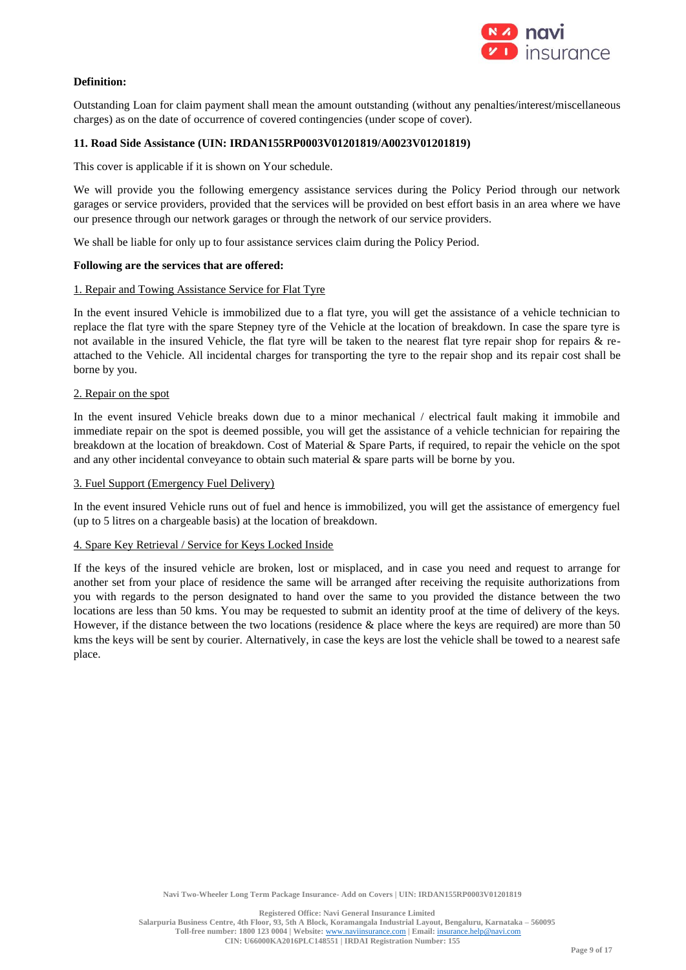

# **Definition:**

Outstanding Loan for claim payment shall mean the amount outstanding (without any penalties/interest/miscellaneous charges) as on the date of occurrence of covered contingencies (under scope of cover).

## **11. Road Side Assistance (UIN: IRDAN155RP0003V01201819/A0023V01201819)**

This cover is applicable if it is shown on Your schedule.

We will provide you the following emergency assistance services during the Policy Period through our network garages or service providers, provided that the services will be provided on best effort basis in an area where we have our presence through our network garages or through the network of our service providers.

We shall be liable for only up to four assistance services claim during the Policy Period.

#### **Following are the services that are offered:**

#### 1. Repair and Towing Assistance Service for Flat Tyre

In the event insured Vehicle is immobilized due to a flat tyre, you will get the assistance of a vehicle technician to replace the flat tyre with the spare Stepney tyre of the Vehicle at the location of breakdown. In case the spare tyre is not available in the insured Vehicle, the flat tyre will be taken to the nearest flat tyre repair shop for repairs & reattached to the Vehicle. All incidental charges for transporting the tyre to the repair shop and its repair cost shall be borne by you.

#### 2. Repair on the spot

In the event insured Vehicle breaks down due to a minor mechanical / electrical fault making it immobile and immediate repair on the spot is deemed possible, you will get the assistance of a vehicle technician for repairing the breakdown at the location of breakdown. Cost of Material & Spare Parts, if required, to repair the vehicle on the spot and any other incidental conveyance to obtain such material & spare parts will be borne by you.

#### 3. Fuel Support (Emergency Fuel Delivery)

In the event insured Vehicle runs out of fuel and hence is immobilized, you will get the assistance of emergency fuel (up to 5 litres on a chargeable basis) at the location of breakdown.

## 4. Spare Key Retrieval / Service for Keys Locked Inside

If the keys of the insured vehicle are broken, lost or misplaced, and in case you need and request to arrange for another set from your place of residence the same will be arranged after receiving the requisite authorizations from you with regards to the person designated to hand over the same to you provided the distance between the two locations are less than 50 kms. You may be requested to submit an identity proof at the time of delivery of the keys. However, if the distance between the two locations (residence & place where the keys are required) are more than 50 kms the keys will be sent by courier. Alternatively, in case the keys are lost the vehicle shall be towed to a nearest safe place.

**Registered Office: Navi General Insurance Limited**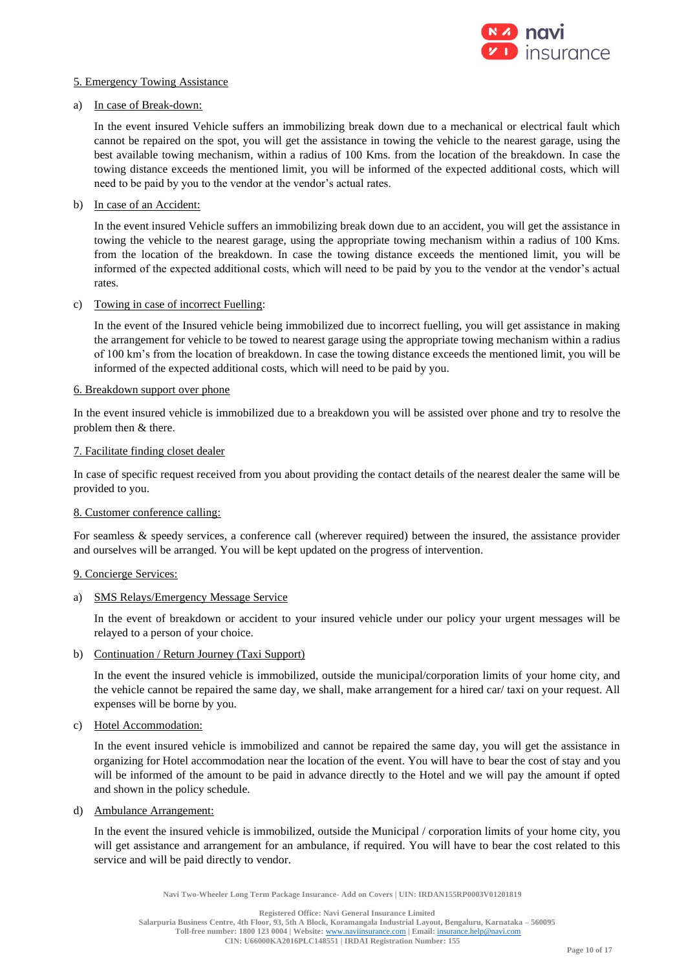

# 5. Emergency Towing Assistance

## a) In case of Break-down:

In the event insured Vehicle suffers an immobilizing break down due to a mechanical or electrical fault which cannot be repaired on the spot, you will get the assistance in towing the vehicle to the nearest garage, using the best available towing mechanism, within a radius of 100 Kms. from the location of the breakdown. In case the towing distance exceeds the mentioned limit, you will be informed of the expected additional costs, which will need to be paid by you to the vendor at the vendor's actual rates.

## b) In case of an Accident:

In the event insured Vehicle suffers an immobilizing break down due to an accident, you will get the assistance in towing the vehicle to the nearest garage, using the appropriate towing mechanism within a radius of 100 Kms. from the location of the breakdown. In case the towing distance exceeds the mentioned limit, you will be informed of the expected additional costs, which will need to be paid by you to the vendor at the vendor's actual rates.

## c) Towing in case of incorrect Fuelling:

In the event of the Insured vehicle being immobilized due to incorrect fuelling, you will get assistance in making the arrangement for vehicle to be towed to nearest garage using the appropriate towing mechanism within a radius of 100 km's from the location of breakdown. In case the towing distance exceeds the mentioned limit, you will be informed of the expected additional costs, which will need to be paid by you.

## 6. Breakdown support over phone

In the event insured vehicle is immobilized due to a breakdown you will be assisted over phone and try to resolve the problem then & there.

## 7. Facilitate finding closet dealer

In case of specific request received from you about providing the contact details of the nearest dealer the same will be provided to you.

# 8. Customer conference calling:

For seamless & speedy services, a conference call (wherever required) between the insured, the assistance provider and ourselves will be arranged. You will be kept updated on the progress of intervention.

## 9. Concierge Services:

# a) SMS Relays/Emergency Message Service

In the event of breakdown or accident to your insured vehicle under our policy your urgent messages will be relayed to a person of your choice.

# b) Continuation / Return Journey (Taxi Support)

In the event the insured vehicle is immobilized, outside the municipal/corporation limits of your home city, and the vehicle cannot be repaired the same day, we shall, make arrangement for a hired car/ taxi on your request. All expenses will be borne by you.

## c) Hotel Accommodation:

In the event insured vehicle is immobilized and cannot be repaired the same day, you will get the assistance in organizing for Hotel accommodation near the location of the event. You will have to bear the cost of stay and you will be informed of the amount to be paid in advance directly to the Hotel and we will pay the amount if opted and shown in the policy schedule.

## d) Ambulance Arrangement:

In the event the insured vehicle is immobilized, outside the Municipal / corporation limits of your home city, you will get assistance and arrangement for an ambulance, if required. You will have to bear the cost related to this service and will be paid directly to vendor.

**Navi Two-Wheeler Long Term Package Insurance- Add on Covers | UIN: IRDAN155RP0003V01201819**

**Salarpuria Business Centre, 4th Floor, 93, 5th A Block, Koramangala Industrial Layout, Bengaluru, Karnataka – 560095 Toll-free number: 1800 123 0004 | Website:** [www.naviinsurance.com](http://www.naviinsurance.com/) **| Email:** [insurance.help@navi.com](mailto:insurance.help@navi.com)

**CIN: U66000KA2016PLC148551 | IRDAI Registration Number: 155**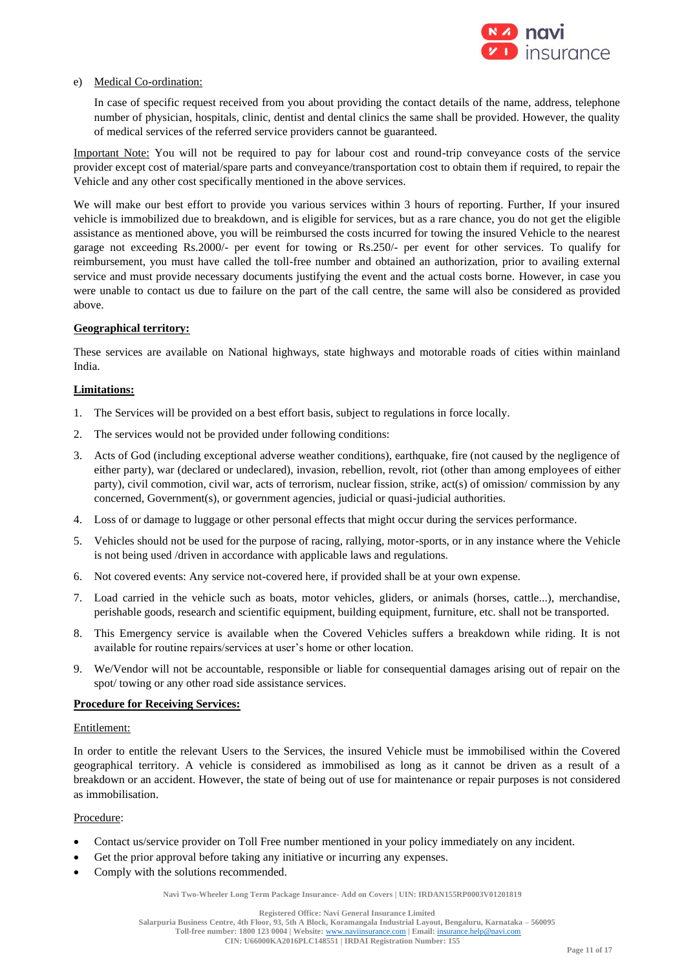

# e) Medical Co-ordination:

In case of specific request received from you about providing the contact details of the name, address, telephone number of physician, hospitals, clinic, dentist and dental clinics the same shall be provided. However, the quality of medical services of the referred service providers cannot be guaranteed.

Important Note: You will not be required to pay for labour cost and round-trip conveyance costs of the service provider except cost of material/spare parts and conveyance/transportation cost to obtain them if required, to repair the Vehicle and any other cost specifically mentioned in the above services.

We will make our best effort to provide you various services within 3 hours of reporting. Further, If your insured vehicle is immobilized due to breakdown, and is eligible for services, but as a rare chance, you do not get the eligible assistance as mentioned above, you will be reimbursed the costs incurred for towing the insured Vehicle to the nearest garage not exceeding Rs.2000/- per event for towing or Rs.250/- per event for other services. To qualify for reimbursement, you must have called the toll-free number and obtained an authorization, prior to availing external service and must provide necessary documents justifying the event and the actual costs borne. However, in case you were unable to contact us due to failure on the part of the call centre, the same will also be considered as provided above.

# **Geographical territory:**

These services are available on National highways, state highways and motorable roads of cities within mainland India.

# **Limitations:**

- 1. The Services will be provided on a best effort basis, subject to regulations in force locally.
- 2. The services would not be provided under following conditions:
- 3. Acts of God (including exceptional adverse weather conditions), earthquake, fire (not caused by the negligence of either party), war (declared or undeclared), invasion, rebellion, revolt, riot (other than among employees of either party), civil commotion, civil war, acts of terrorism, nuclear fission, strike, act(s) of omission/ commission by any concerned, Government(s), or government agencies, judicial or quasi-judicial authorities.
- 4. Loss of or damage to luggage or other personal effects that might occur during the services performance.
- 5. Vehicles should not be used for the purpose of racing, rallying, motor-sports, or in any instance where the Vehicle is not being used /driven in accordance with applicable laws and regulations.
- 6. Not covered events: Any service not-covered here, if provided shall be at your own expense.
- 7. Load carried in the vehicle such as boats, motor vehicles, gliders, or animals (horses, cattle...), merchandise, perishable goods, research and scientific equipment, building equipment, furniture, etc. shall not be transported.
- 8. This Emergency service is available when the Covered Vehicles suffers a breakdown while riding. It is not available for routine repairs/services at user's home or other location.
- 9. We/Vendor will not be accountable, responsible or liable for consequential damages arising out of repair on the spot/ towing or any other road side assistance services.

# **Procedure for Receiving Services:**

# Entitlement:

In order to entitle the relevant Users to the Services, the insured Vehicle must be immobilised within the Covered geographical territory. A vehicle is considered as immobilised as long as it cannot be driven as a result of a breakdown or an accident. However, the state of being out of use for maintenance or repair purposes is not considered as immobilisation.

# Procedure:

- Contact us/service provider on Toll Free number mentioned in your policy immediately on any incident.
- Get the prior approval before taking any initiative or incurring any expenses.
- Comply with the solutions recommended.

**Navi Two-Wheeler Long Term Package Insurance- Add on Covers | UIN: IRDAN155RP0003V01201819**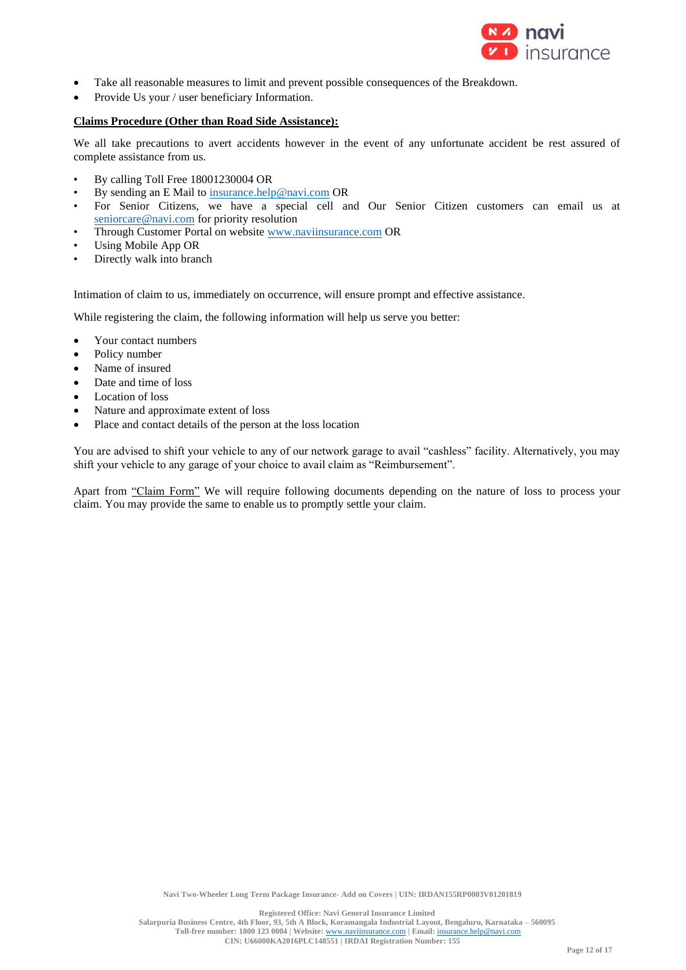

- Take all reasonable measures to limit and prevent possible consequences of the Breakdown.
- Provide Us your / user beneficiary Information.

## **Claims Procedure (Other than Road Side Assistance):**

We all take precautions to avert accidents however in the event of any unfortunate accident be rest assured of complete assistance from us.

- By calling Toll Free 18001230004 OR
- By sending an E Mail to [insurance.help@navi.com](mailto:insurance.help@navi.com) OR
- For Senior Citizens, we have a special cell and Our Senior Citizen customers can email us at [seniorcare@navi.com](mailto:seniorcare@navi.com) for priority resolution
- Through Customer Portal on website [www.naviinsurance.com](http://www.naviinsurance.com/) OR
- Using Mobile App OR
- Directly walk into branch

Intimation of claim to us, immediately on occurrence, will ensure prompt and effective assistance.

While registering the claim, the following information will help us serve you better:

- Your contact numbers
- Policy number
- Name of insured
- Date and time of loss
- Location of loss
- Nature and approximate extent of loss
- Place and contact details of the person at the loss location

You are advised to shift your vehicle to any of our network garage to avail "cashless" facility. Alternatively, you may shift your vehicle to any garage of your choice to avail claim as "Reimbursement".

Apart from "Claim Form" We will require following documents depending on the nature of loss to process your claim. You may provide the same to enable us to promptly settle your claim.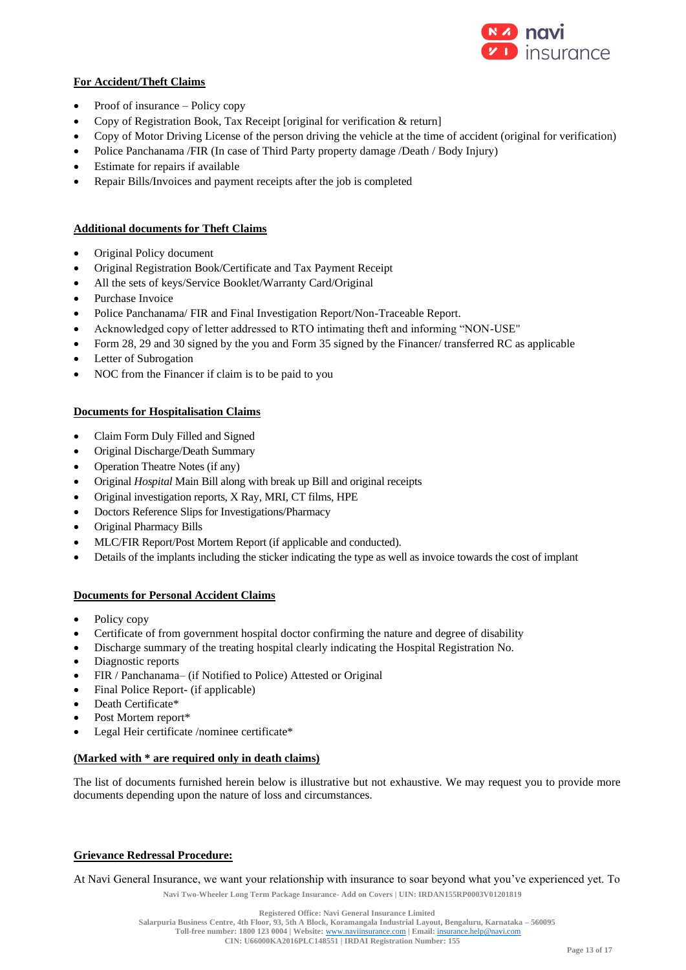

# **For Accident/Theft Claims**

- Proof of insurance Policy copy
- Copy of Registration Book, Tax Receipt [original for verification & return]
- Copy of Motor Driving License of the person driving the vehicle at the time of accident (original for verification)
- Police Panchanama /FIR (In case of Third Party property damage /Death / Body Injury)
- Estimate for repairs if available
- Repair Bills/Invoices and payment receipts after the job is completed

# **Additional documents for Theft Claims**

- Original Policy document
- Original Registration Book/Certificate and Tax Payment Receipt
- All the sets of keys/Service Booklet/Warranty Card/Original
- Purchase Invoice
- Police Panchanama/ FIR and Final Investigation Report/Non-Traceable Report.
- Acknowledged copy of letter addressed to RTO intimating theft and informing "NON-USE"
- Form 28, 29 and 30 signed by the you and Form 35 signed by the Financer/ transferred RC as applicable
- Letter of Subrogation
- NOC from the Financer if claim is to be paid to you

# **Documents for Hospitalisation Claims**

- Claim Form Duly Filled and Signed
- Original Discharge/Death Summary
- Operation Theatre Notes (if any)
- Original *Hospital* Main Bill along with break up Bill and original receipts
- Original investigation reports, X Ray, MRI, CT films, HPE
- Doctors Reference Slips for Investigations/Pharmacy
- Original Pharmacy Bills
- MLC/FIR Report/Post Mortem Report (if applicable and conducted).
- Details of the implants including the sticker indicating the type as well as invoice towards the cost of implant

# **Documents for Personal Accident Claims**

- Policy copy
- Certificate of from government hospital doctor confirming the nature and degree of disability
- Discharge summary of the treating hospital clearly indicating the Hospital Registration No.
- Diagnostic reports
- FIR / Panchanama– (if Notified to Police) Attested or Original
- Final Police Report- (if applicable)
- Death Certificate\*
- Post Mortem report\*
- Legal Heir certificate /nominee certificate\*

# **(Marked with \* are required only in death claims)**

The list of documents furnished herein below is illustrative but not exhaustive. We may request you to provide more documents depending upon the nature of loss and circumstances.

# **Grievance Redressal Procedure:**

At Navi General Insurance, we want your relationship with insurance to soar beyond what you've experienced yet. To

**Navi Two-Wheeler Long Term Package Insurance- Add on Covers | UIN: IRDAN155RP0003V01201819**

**Salarpuria Business Centre, 4th Floor, 93, 5th A Block, Koramangala Industrial Layout, Bengaluru, Karnataka – 560095**

**Toll-free number: 1800 123 0004 | Website:** [www.naviinsurance.com](http://www.naviinsurance.com/) **| Email:** [insurance.help@navi.com](mailto:insurance.help@navi.com)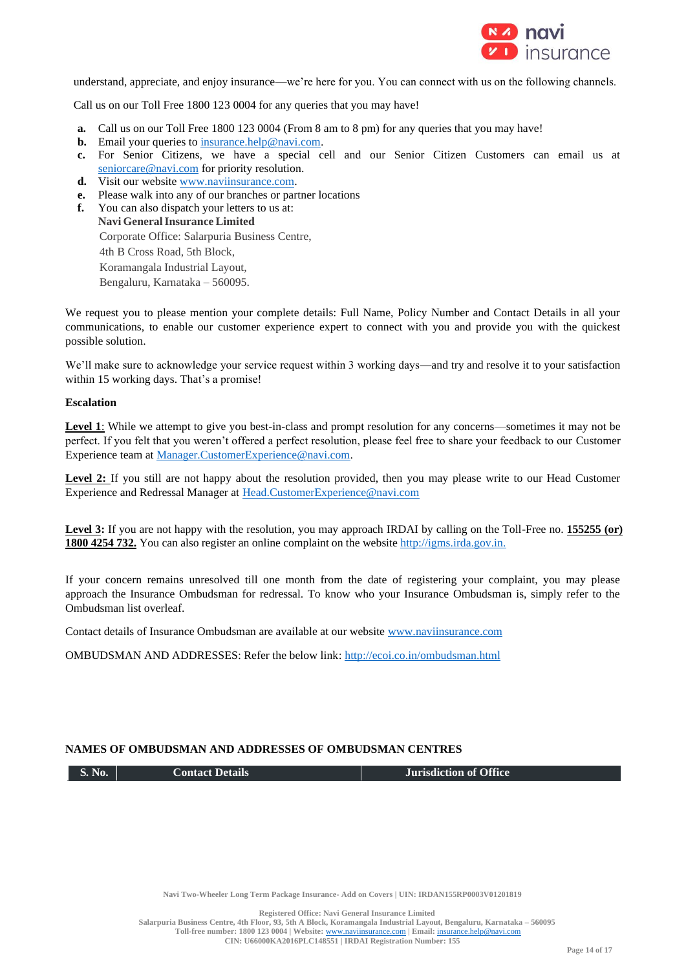

understand, appreciate, and enjoy insurance—we're here for you. You can connect with us on the following channels.

Call us on our Toll Free 1800 123 0004 for any queries that you may have!

- **a.** Call us on our Toll Free 1800 123 0004 (From 8 am to 8 pm) for any queries that you may have!
- **b.** Email your queries to **insurance**.help@navi.com.
- **c.** For Senior Citizens, we have a special cell and our Senior Citizen Customers can email us at [seniorcare@navi.com](mailto:seniorcare@navi.com) for priority resolution.
- d. Visit our website [www.naviinsurance.com.](http://www.naviinsurance.com/)
- **e.** Please walk into any of our branches or partner locations
- **f.** You can also dispatch your letters to us at: **Navi GeneralInsurance Limited** Corporate Office: Salarpuria Business Centre, 4th B Cross Road, 5th Block, Koramangala Industrial Layout, Bengaluru, Karnataka – 560095.

We request you to please mention your complete details: Full Name, Policy Number and Contact Details in all your communications, to enable our customer experience expert to connect with you and provide you with the quickest possible solution.

We'll make sure to acknowledge your service request within 3 working days—and try and resolve it to your satisfaction within 15 working days. That's a promise!

## **Escalation**

Level 1: While we attempt to give you best-in-class and prompt resolution for any concerns—sometimes it may not be perfect. If you felt that you weren't offered a perfect resolution, please feel free to share your feedback to our Customer Experience team at [Manager.CustomerExperience@navi.com.](mailto:Manager.CustomerExperience@navi.com)

Level 2: If you still are not happy about the resolution provided, then you may please write to our Head Customer Experience and Redressal Manager at [Head.CustomerExperience@navi.com](mailto:Head.CustomerExperience@navi.com)

Level 3: If you are not happy with the resolution, you may approach IRDAI by calling on the Toll-Free no. 155255 (or) **1800 4254 732.** You can also register an online complaint on the websit[e http://igms.irda.gov.in.](http://igms.irda.gov.in/)

If your concern remains unresolved till one month from the date of registering your complaint, you may please approach the Insurance Ombudsman for redressal. To know who your Insurance Ombudsman is, simply refer to the Ombudsman list overleaf.

Contact details of Insurance Ombudsman are available at our website [www.naviinsurance.com](http://www.naviinsurance.com/)

OMBUDSMAN AND ADDRESSES: Refer the below link:<http://ecoi.co.in/ombudsman.html>

# **NAMES OF OMBUDSMAN AND ADDRESSES OF OMBUDSMAN CENTRES**

**S. No. Contact Details Jurisdiction of Office**

**Navi Two-Wheeler Long Term Package Insurance- Add on Covers | UIN: IRDAN155RP0003V01201819**

**Registered Office: Navi General Insurance Limited**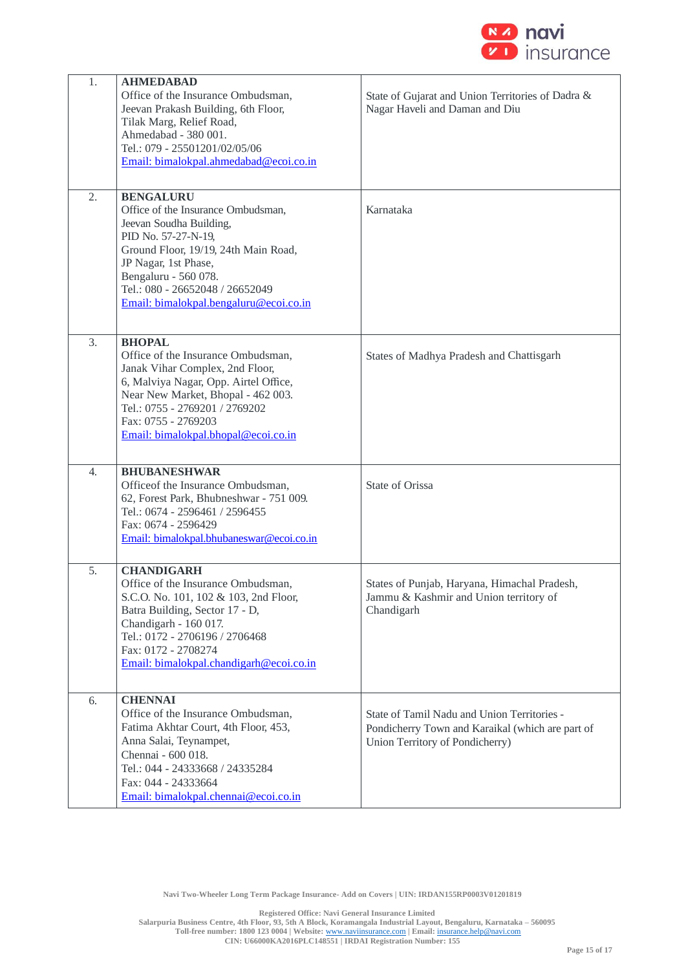

| 1.               | <b>AHMEDABAD</b>                         |                                                   |
|------------------|------------------------------------------|---------------------------------------------------|
|                  | Office of the Insurance Ombudsman,       | State of Gujarat and Union Territories of Dadra & |
|                  | Jeevan Prakash Building, 6th Floor,      | Nagar Haveli and Daman and Diu                    |
|                  | Tilak Marg, Relief Road,                 |                                                   |
|                  | Ahmedabad - 380 001.                     |                                                   |
|                  | Tel.: 079 - 25501201/02/05/06            |                                                   |
|                  | Email: bimalokpal.ahmedabad@ecoi.co.in   |                                                   |
|                  |                                          |                                                   |
|                  |                                          |                                                   |
| 2.               | <b>BENGALURU</b>                         |                                                   |
|                  | Office of the Insurance Ombudsman,       | Karnataka                                         |
|                  | Jeevan Soudha Building,                  |                                                   |
|                  | PID No. 57-27-N-19,                      |                                                   |
|                  | Ground Floor, 19/19, 24th Main Road,     |                                                   |
|                  | JP Nagar, 1st Phase,                     |                                                   |
|                  | Bengaluru - 560 078.                     |                                                   |
|                  | Tel.: 080 - 26652048 / 26652049          |                                                   |
|                  | Email: bimalokpal.bengaluru@ecoi.co.in   |                                                   |
|                  |                                          |                                                   |
|                  |                                          |                                                   |
| 3.               | <b>BHOPAL</b>                            |                                                   |
|                  | Office of the Insurance Ombudsman,       | States of Madhya Pradesh and Chattisgarh          |
|                  | Janak Vihar Complex, 2nd Floor,          |                                                   |
|                  | 6, Malviya Nagar, Opp. Airtel Office,    |                                                   |
|                  | Near New Market, Bhopal - 462 003.       |                                                   |
|                  | Tel.: 0755 - 2769201 / 2769202           |                                                   |
|                  | Fax: 0755 - 2769203                      |                                                   |
|                  | Email: bimalokpal.bhopal@ecoi.co.in      |                                                   |
|                  |                                          |                                                   |
| $\overline{4}$ . | <b>BHUBANESHWAR</b>                      |                                                   |
|                  | Officeof the Insurance Ombudsman,        | <b>State of Orissa</b>                            |
|                  | 62, Forest Park, Bhubneshwar - 751 009.  |                                                   |
|                  | Tel.: 0674 - 2596461 / 2596455           |                                                   |
|                  | Fax: 0674 - 2596429                      |                                                   |
|                  | Email: bimalokpal.bhubaneswar@ecoi.co.in |                                                   |
|                  |                                          |                                                   |
| 5.               | <b>CHANDIGARH</b>                        |                                                   |
|                  |                                          | States of Punjab, Haryana, Himachal Pradesh,      |
|                  | Office of the Insurance Ombudsman,       |                                                   |
|                  | S.C.O. No. 101, 102 & 103, 2nd Floor,    | Jammu & Kashmir and Union territory of            |
|                  | Batra Building, Sector 17 - D,           | Chandigarh                                        |
|                  | Chandigarh - 160 017.                    |                                                   |
|                  | Tel.: 0172 - 2706196 / 2706468           |                                                   |
|                  | Fax: 0172 - 2708274                      |                                                   |
|                  | Email: bimalokpal.chandigarh@ecoi.co.in  |                                                   |
|                  |                                          |                                                   |
| 6.               | <b>CHENNAI</b>                           |                                                   |
|                  | Office of the Insurance Ombudsman,       | State of Tamil Nadu and Union Territories -       |
|                  | Fatima Akhtar Court, 4th Floor, 453,     | Pondicherry Town and Karaikal (which are part of  |
|                  | Anna Salai, Teynampet,                   | Union Territory of Pondicherry)                   |
|                  | Chennai - 600 018.                       |                                                   |
|                  | Tel.: 044 - 24333668 / 24335284          |                                                   |
|                  | Fax: 044 - 24333664                      |                                                   |
|                  | Email: bimalokpal.chennai@ecoi.co.in     |                                                   |
|                  |                                          |                                                   |

**Navi Two-Wheeler Long Term Package Insurance- Add on Covers | UIN: IRDAN155RP0003V01201819**

**Registered Office: Navi General Insurance Limited**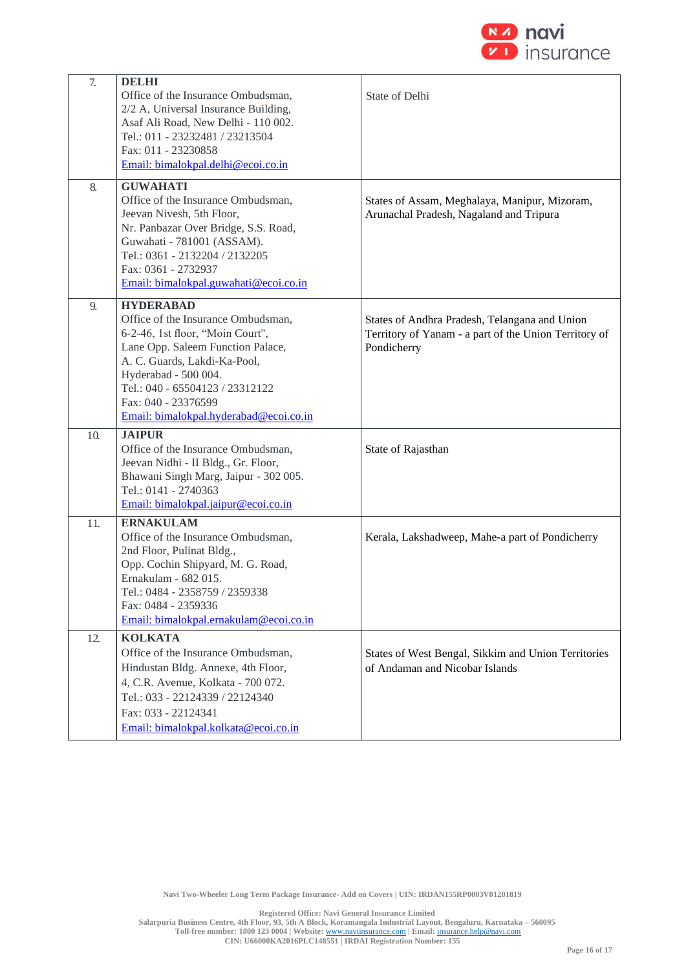

| 7.  | <b>DELHI</b><br>Office of the Insurance Ombudsman,<br>2/2 A, Universal Insurance Building,<br>Asaf Ali Road, New Delhi - 110 002.<br>Tel.: 011 - 23232481 / 23213504<br>Fax: 011 - 23230858<br>Email: bimalokpal.delhi@ecoi.co.in                                                           | State of Delhi                                                                                                        |
|-----|---------------------------------------------------------------------------------------------------------------------------------------------------------------------------------------------------------------------------------------------------------------------------------------------|-----------------------------------------------------------------------------------------------------------------------|
| 8.  | <b>GUWAHATI</b><br>Office of the Insurance Ombudsman,<br>Jeevan Nivesh, 5th Floor,<br>Nr. Panbazar Over Bridge, S.S. Road,<br>Guwahati - 781001 (ASSAM).<br>Tel.: 0361 - 2132204 / 2132205<br>Fax: 0361 - 2732937<br>Email: bimalokpal.guwahati@ecoi.co.in                                  | States of Assam, Meghalaya, Manipur, Mizoram,<br>Arunachal Pradesh, Nagaland and Tripura                              |
| 9.  | <b>HYDERABAD</b><br>Office of the Insurance Ombudsman,<br>6-2-46, 1st floor, "Moin Court",<br>Lane Opp. Saleem Function Palace,<br>A. C. Guards, Lakdi-Ka-Pool,<br>Hyderabad - 500 004.<br>Tel.: 040 - 65504123 / 23312122<br>Fax: 040 - 23376599<br>Email: bimalokpal.hyderabad@ecoi.co.in | States of Andhra Pradesh, Telangana and Union<br>Territory of Yanam - a part of the Union Territory of<br>Pondicherry |
| 10. | <b>JAIPUR</b><br>Office of the Insurance Ombudsman,<br>Jeevan Nidhi - II Bldg., Gr. Floor,<br>Bhawani Singh Marg, Jaipur - 302 005.<br>Tel.: 0141 - 2740363<br>Email: bimalokpal.jaipur@ecoi.co.in                                                                                          | State of Rajasthan                                                                                                    |
| 11. | <b>ERNAKULAM</b><br>Office of the Insurance Ombudsman,<br>2nd Floor, Pulinat Bldg.,<br>Opp. Cochin Shipyard, M. G. Road,<br>Ernakulam - 682 015.<br>Tel.: 0484 - 2358759 / 2359338<br>Fax: 0484 - 2359336<br>Email: bimalokpal.ernakulam@ecoi.co.in                                         | Kerala, Lakshadweep, Mahe-a part of Pondicherry                                                                       |
| 12. | <b>KOLKATA</b><br>Office of the Insurance Ombudsman,<br>Hindustan Bldg. Annexe, 4th Floor,<br>4, C.R. Avenue, Kolkata - 700 072.<br>Tel.: 033 - 22124339 / 22124340<br>Fax: 033 - 22124341<br>Email: bimalokpal.kolkata@ecoi.co.in                                                          | States of West Bengal, Sikkim and Union Territories<br>of Andaman and Nicobar Islands                                 |

**Navi Two-Wheeler Long Term Package Insurance- Add on Covers | UIN: IRDAN155RP0003V01201819**

**Registered Office: Navi General Insurance Limited**